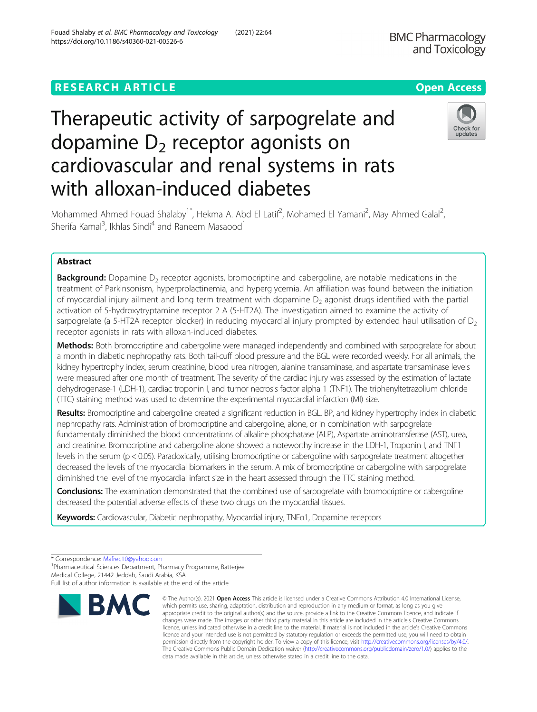# **RESEARCH ARTICLE Example 2014 12:30 The Contract of Contract ACCESS**

# Therapeutic activity of sarpogrelate and dopamine  $D_2$  receptor agonists on cardiovascular and renal systems in rats with alloxan-induced diabetes

Mohammed Ahmed Fouad Shalaby<sup>1\*</sup>, Hekma A. Abd El Latif<sup>2</sup>, Mohamed El Yamani<sup>2</sup>, May Ahmed Galal<sup>2</sup> , Sherifa Kamal<sup>3</sup>, Ikhlas Sindi<sup>4</sup> and Raneem Masaood<sup>1</sup>

# Abstract

**Background:** Dopamine  $D_2$  receptor agonists, bromocriptine and cabergoline, are notable medications in the treatment of Parkinsonism, hyperprolactinemia, and hyperglycemia. An affiliation was found between the initiation of myocardial injury ailment and long term treatment with dopamine  $D_2$  agonist drugs identified with the partial activation of 5-hydroxytryptamine receptor 2 A (5-HT2A). The investigation aimed to examine the activity of sarpogrelate (a 5-HT2A receptor blocker) in reducing myocardial injury prompted by extended haul utilisation of  $D<sub>2</sub>$ receptor agonists in rats with alloxan-induced diabetes.

Methods: Both bromocriptine and cabergoline were managed independently and combined with sarpogrelate for about a month in diabetic nephropathy rats. Both tail-cuff blood pressure and the BGL were recorded weekly. For all animals, the kidney hypertrophy index, serum creatinine, blood urea nitrogen, alanine transaminase, and aspartate transaminase levels were measured after one month of treatment. The severity of the cardiac injury was assessed by the estimation of lactate dehydrogenase-1 (LDH-1), cardiac troponin I, and tumor necrosis factor alpha 1 (TNF1). The triphenyltetrazolium chloride (TTC) staining method was used to determine the experimental myocardial infarction (MI) size.

Results: Bromocriptine and cabergoline created a significant reduction in BGL, BP, and kidney hypertrophy index in diabetic nephropathy rats. Administration of bromocriptine and cabergoline, alone, or in combination with sarpogrelate fundamentally diminished the blood concentrations of alkaline phosphatase (ALP), Aspartate aminotransferase (AST), urea, and creatinine. Bromocriptine and cabergoline alone showed a noteworthy increase in the LDH-1, Troponin I, and TNF1 levels in the serum (p < 0.05). Paradoxically, utilising bromocriptine or cabergoline with sarpogrelate treatment altogether decreased the levels of the myocardial biomarkers in the serum. A mix of bromocriptine or cabergoline with sarpogrelate diminished the level of the myocardial infarct size in the heart assessed through the TTC staining method.

Conclusions: The examination demonstrated that the combined use of sarpogrelate with bromocriptine or cabergoline decreased the potential adverse effects of these two drugs on the myocardial tissues.

Keywords: Cardiovascular, Diabetic nephropathy, Myocardial injury, TNFa1, Dopamine receptors

<sup>1</sup>Pharmaceutical Sciences Department, Pharmacy Programme, Batterjee

**BMC** 



© The Author(s), 2021 **Open Access** This article is licensed under a Creative Commons Attribution 4.0 International License, which permits use, sharing, adaptation, distribution and reproduction in any medium or format, as long as you give



<sup>\*</sup> Correspondence: [Mafrec10@yahoo.com](mailto:Mafrec10@yahoo.com) <sup>1</sup>

Medical College, 21442 Jeddah, Saudi Arabia, KSA

Full list of author information is available at the end of the article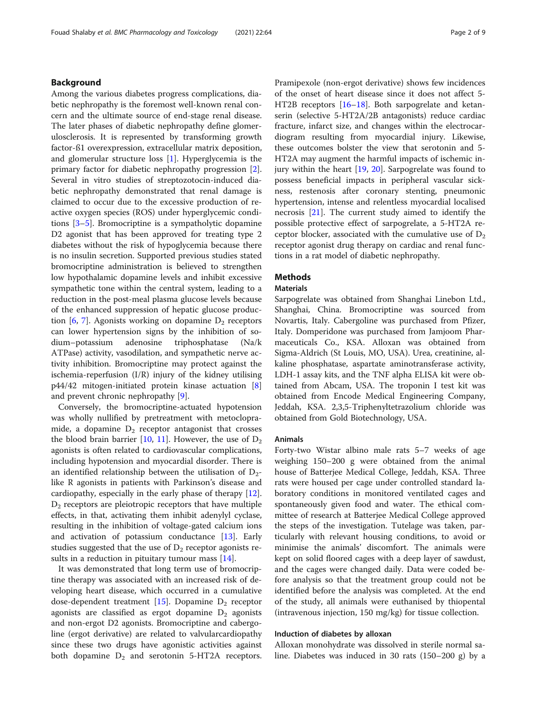# Background

Among the various diabetes progress complications, diabetic nephropathy is the foremost well-known renal concern and the ultimate source of end-stage renal disease. The later phases of diabetic nephropathy define glomerulosclerosis. It is represented by transforming growth factor-ß1 overexpression, extracellular matrix deposition, and glomerular structure loss [[1\]](#page-7-0). Hyperglycemia is the primary factor for diabetic nephropathy progression [\[2](#page-7-0)]. Several in vitro studies of streptozotocin-induced diabetic nephropathy demonstrated that renal damage is claimed to occur due to the excessive production of reactive oxygen species (ROS) under hyperglycemic conditions [[3](#page-7-0)–[5](#page-7-0)]. Bromocriptine is a sympatholytic dopamine D2 agonist that has been approved for treating type 2 diabetes without the risk of hypoglycemia because there is no insulin secretion. Supported previous studies stated bromocriptine administration is believed to strengthen low hypothalamic dopamine levels and inhibit excessive sympathetic tone within the central system, leading to a reduction in the post-meal plasma glucose levels because of the enhanced suppression of hepatic glucose production  $[6, 7]$  $[6, 7]$  $[6, 7]$  $[6, 7]$  $[6, 7]$ . Agonists working on dopamine  $D_2$  receptors can lower hypertension signs by the inhibition of sodium–potassium adenosine triphosphatase (Na/k ATPase) activity, vasodilation, and sympathetic nerve activity inhibition. Bromocriptine may protect against the ischemia-reperfusion (I/R) injury of the kidney utilising p44/42 mitogen-initiated protein kinase actuation [\[8](#page-7-0)] and prevent chronic nephropathy [[9\]](#page-7-0).

Conversely, the bromocriptine-actuated hypotension was wholly nullified by pretreatment with metoclopramide, a dopamine  $D_2$  receptor antagonist that crosses the blood brain barrier [[10](#page-7-0), [11\]](#page-7-0). However, the use of  $D_2$ agonists is often related to cardiovascular complications, including hypotension and myocardial disorder. There is an identified relationship between the utilisation of  $D_2$ like R agonists in patients with Parkinson's disease and cardiopathy, especially in the early phase of therapy [\[12](#page-7-0)].  $D_2$  receptors are pleiotropic receptors that have multiple effects, in that, activating them inhibit adenylyl cyclase, resulting in the inhibition of voltage-gated calcium ions and activation of potassium conductance [\[13](#page-7-0)]. Early studies suggested that the use of  $D_2$  receptor agonists re-sults in a reduction in pituitary tumour mass [[14\]](#page-7-0).

It was demonstrated that long term use of bromocriptine therapy was associated with an increased risk of developing heart disease, which occurred in a cumulative dose-dependent treatment [\[15\]](#page-7-0). Dopamine  $D_2$  receptor agonists are classified as ergot dopamine  $D_2$  agonists and non-ergot D2 agonists. Bromocriptine and cabergoline (ergot derivative) are related to valvularcardiopathy since these two drugs have agonistic activities against both dopamine  $D_2$  and serotonin 5-HT2A receptors.

Pramipexole (non-ergot derivative) shows few incidences of the onset of heart disease since it does not affect 5- HT2B receptors [[16](#page-7-0)–[18](#page-7-0)]. Both sarpogrelate and ketanserin (selective 5-HT2A/2B antagonists) reduce cardiac fracture, infarct size, and changes within the electrocardiogram resulting from myocardial injury. Likewise, these outcomes bolster the view that serotonin and 5- HT2A may augment the harmful impacts of ischemic injury within the heart [[19,](#page-7-0) [20\]](#page-7-0). Sarpogrelate was found to possess beneficial impacts in peripheral vascular sickness, restenosis after coronary stenting, pneumonic hypertension, intense and relentless myocardial localised necrosis [[21\]](#page-7-0). The current study aimed to identify the possible protective effect of sarpogrelate, a 5-HT2A receptor blocker, associated with the cumulative use of  $D_2$ receptor agonist drug therapy on cardiac and renal functions in a rat model of diabetic nephropathy.

### Methods

# **Materials**

Sarpogrelate was obtained from Shanghai Linebon Ltd., Shanghai, China. Bromocriptine was sourced from Novartis, Italy. Cabergoline was purchased from Pfizer, Italy. Domperidone was purchased from Jamjoom Pharmaceuticals Co., KSA. Alloxan was obtained from Sigma-Aldrich (St Louis, MO, USA). Urea, creatinine, alkaline phosphatase, aspartate aminotransferase activity, LDH-1 assay kits, and the TNF alpha ELISA kit were obtained from Abcam, USA. The troponin I test kit was obtained from Encode Medical Engineering Company, Jeddah, KSA. 2,3,5-Triphenyltetrazolium chloride was obtained from Gold Biotechnology, USA.

#### Animals

Forty-two Wistar albino male rats 5–7 weeks of age weighing 150–200 g were obtained from the animal house of Batterjee Medical College, Jeddah, KSA. Three rats were housed per cage under controlled standard laboratory conditions in monitored ventilated cages and spontaneously given food and water. The ethical committee of research at Batterjee Medical College approved the steps of the investigation. Tutelage was taken, particularly with relevant housing conditions, to avoid or minimise the animals' discomfort. The animals were kept on solid floored cages with a deep layer of sawdust, and the cages were changed daily. Data were coded before analysis so that the treatment group could not be identified before the analysis was completed. At the end of the study, all animals were euthanised by thiopental (intravenous injection, 150 mg/kg) for tissue collection.

#### Induction of diabetes by alloxan

Alloxan monohydrate was dissolved in sterile normal saline. Diabetes was induced in 30 rats (150–200 g) by a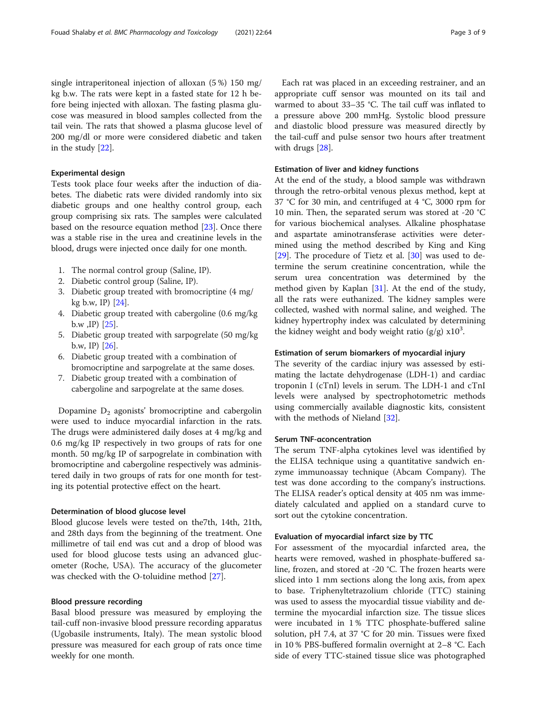single intraperitoneal injection of alloxan (5 %) 150 mg/ kg b.w. The rats were kept in a fasted state for 12 h before being injected with alloxan. The fasting plasma glucose was measured in blood samples collected from the tail vein. The rats that showed a plasma glucose level of 200 mg/dl or more were considered diabetic and taken in the study [\[22](#page-8-0)].

#### Experimental design

Tests took place four weeks after the induction of diabetes. The diabetic rats were divided randomly into six diabetic groups and one healthy control group, each group comprising six rats. The samples were calculated based on the resource equation method [\[23](#page-8-0)]. Once there was a stable rise in the urea and creatinine levels in the blood, drugs were injected once daily for one month.

- 1. The normal control group (Saline, IP).
- 2. Diabetic control group (Saline, IP).
- 3. Diabetic group treated with bromocriptine (4 mg/ kg b.w, IP) [\[24\]](#page-8-0).
- 4. Diabetic group treated with cabergoline (0.6 mg/kg b.w , IP  $[25]$ .
- 5. Diabetic group treated with sarpogrelate (50 mg/kg b.w, IP) [\[26\]](#page-8-0).
- 6. Diabetic group treated with a combination of bromocriptine and sarpogrelate at the same doses.
- 7. Diabetic group treated with a combination of cabergoline and sarpogrelate at the same doses.

Dopamine D<sub>2</sub> agonists' bromocriptine and cabergolin were used to induce myocardial infarction in the rats. The drugs were administered daily doses at 4 mg/kg and 0.6 mg/kg IP respectively in two groups of rats for one month. 50 mg/kg IP of sarpogrelate in combination with bromocriptine and cabergoline respectively was administered daily in two groups of rats for one month for testing its potential protective effect on the heart.

#### Determination of blood glucose level

Blood glucose levels were tested on the7th, 14th, 21th, and 28th days from the beginning of the treatment. One millimetre of tail end was cut and a drop of blood was used for blood glucose tests using an advanced glucometer (Roche, USA). The accuracy of the glucometer was checked with the O-toluidine method [\[27](#page-8-0)].

#### Blood pressure recording

Basal blood pressure was measured by employing the tail-cuff non-invasive blood pressure recording apparatus (Ugobasile instruments, Italy). The mean systolic blood pressure was measured for each group of rats once time weekly for one month.

Each rat was placed in an exceeding restrainer, and an appropriate cuff sensor was mounted on its tail and warmed to about 33–35 °C. The tail cuff was inflated to a pressure above 200 mmHg. Systolic blood pressure and diastolic blood pressure was measured directly by the tail-cuff and pulse sensor two hours after treatment with drugs [\[28](#page-8-0)].

#### Estimation of liver and kidney functions

At the end of the study, a blood sample was withdrawn through the retro-orbital venous plexus method, kept at 37 °C for 30 min, and centrifuged at 4 °C, 3000 rpm for 10 min. Then, the separated serum was stored at -20 °C for various biochemical analyses. Alkaline phosphatase and aspartate aminotransferase activities were determined using the method described by King and King [[29\]](#page-8-0). The procedure of Tietz et al. [\[30](#page-8-0)] was used to determine the serum creatinine concentration, while the serum urea concentration was determined by the method given by Kaplan [[31](#page-8-0)]. At the end of the study, all the rats were euthanized. The kidney samples were collected, washed with normal saline, and weighed. The kidney hypertrophy index was calculated by determining the kidney weight and body weight ratio (g/g)  $x10^3$ .

#### Estimation of serum biomarkers of myocardial injury

The severity of the cardiac injury was assessed by estimating the lactate dehydrogenase (LDH-1) and cardiac troponin I (cTnI) levels in serum. The LDH-1 and cTnI levels were analysed by spectrophotometric methods using commercially available diagnostic kits, consistent with the methods of Nieland [[32](#page-8-0)].

#### Serum TNF-αconcentration

The serum TNF-alpha cytokines level was identified by the ELISA technique using a quantitative sandwich enzyme immunoassay technique (Abcam Company). The test was done according to the company's instructions. The ELISA reader's optical density at 405 nm was immediately calculated and applied on a standard curve to sort out the cytokine concentration.

# Evaluation of myocardial infarct size by TTC

For assessment of the myocardial infarcted area, the hearts were removed, washed in phosphate-buffered saline, frozen, and stored at -20 °C. The frozen hearts were sliced into 1 mm sections along the long axis, from apex to base. Triphenyltetrazolium chloride (TTC) staining was used to assess the myocardial tissue viability and determine the myocardial infarction size. The tissue slices were incubated in 1 % TTC phosphate-buffered saline solution, pH 7.4, at 37 °C for 20 min. Tissues were fixed in 10 % PBS-buffered formalin overnight at 2–8 °C. Each side of every TTC-stained tissue slice was photographed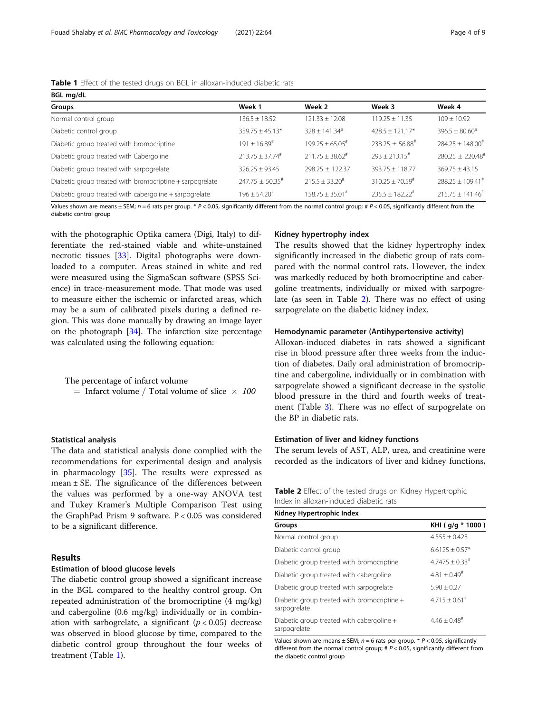| <b>Table 1</b> Effect of the tested drugs on BGL in alloxan-induced diabetic rats |  |  |  |  |  |
|-----------------------------------------------------------------------------------|--|--|--|--|--|
|-----------------------------------------------------------------------------------|--|--|--|--|--|

| BGL mg/dL                                                |                               |                               |                               |                                  |  |
|----------------------------------------------------------|-------------------------------|-------------------------------|-------------------------------|----------------------------------|--|
| Groups                                                   | Week 1                        | Week 2                        | Week 3                        | Week 4                           |  |
| Normal control group                                     | $136.5 \pm 18.52$             | $121.33 + 12.08$              | $119.25 + 11.35$              | $109 + 10.92$                    |  |
| Diabetic control group                                   | $359.75 + 45.13*$             | $328 + 141.34*$               | $428.5 + 121.17*$             | $396.5 + 80.60*$                 |  |
| Diabetic group treated with bromocriptine                | $191 + 16.89^{\text{#}}$      | $199.25 + 65.05$ <sup>#</sup> | $238.25 + 56.88^{\text{*}}$   | $784.25 + 148.00^{\text{\#}}$    |  |
| Diabetic group treated with Cabergoline                  | $213.75 + 37.74$ <sup>#</sup> | $211.75 + 38.62$ <sup>#</sup> | $793 + 713.15$ <sup>#</sup>   | $280.25 \pm 220.48$ <sup>#</sup> |  |
| Diabetic group treated with sarpogrelate                 | $326.25 + 93.45$              | $798.25 + 122.37$             | $393.75 + 118.77$             | $369.75 + 43.15$                 |  |
| Diabetic group treated with bromocriptine + sarpogrelate | $247.75 + 50.35$ #            | $215.5 + 33.20^{\text{*}}$    | $310.25 + 70.59^{\text{*}}$   | $788.25 + 109.41^{\#}$           |  |
| Diabetic group treated with cabergoline + sarpogrelate   | $196 + 54.20$ <sup>#</sup>    | $158.75 \pm 35.01^{\#}$       | $235.5 + 182.22$ <sup>#</sup> | $215.75 \pm 141.46^{\text{\#}}$  |  |

Values shown are means  $\pm$  SEM;  $n = 6$  rats per group. \* P < 0.05, significantly different from the normal control group; # P < 0.05, significantly different from the diabetic control group

with the photographic Optika camera (Digi, Italy) to differentiate the red-stained viable and white-unstained necrotic tissues [\[33](#page-8-0)]. Digital photographs were downloaded to a computer. Areas stained in white and red were measured using the SigmaScan software (SPSS Science) in trace-measurement mode. That mode was used to measure either the ischemic or infarcted areas, which may be a sum of calibrated pixels during a defined region. This was done manually by drawing an image layer on the photograph  $[34]$  $[34]$ . The infarction size percentage was calculated using the following equation:

The percentage of infarct volume

 $=$  Infarct volume / Total volume of slice  $\times$  100

#### Statistical analysis

The data and statistical analysis done complied with the recommendations for experimental design and analysis in pharmacology [[35\]](#page-8-0). The results were expressed as mean  $\pm$  SE. The significance of the differences between the values was performed by a one-way ANOVA test and Tukey Kramer's Multiple Comparison Test using the GraphPad Prism 9 software. P < 0.05 was considered to be a significant difference.

# Results

#### Estimation of blood glucose levels

The diabetic control group showed a significant increase in the BGL compared to the healthy control group. On repeated administration of the bromocriptine (4 mg/kg) and cabergoline (0.6 mg/kg) individually or in combination with sarbogrelate, a significant ( $p < 0.05$ ) decrease was observed in blood glucose by time, compared to the diabetic control group throughout the four weeks of treatment (Table 1).

#### Kidney hypertrophy index

The results showed that the kidney hypertrophy index significantly increased in the diabetic group of rats compared with the normal control rats. However, the index was markedly reduced by both bromocriptine and cabergoline treatments, individually or mixed with sarpogrelate (as seen in Table 2). There was no effect of using sarpogrelate on the diabetic kidney index.

#### Hemodynamic parameter (Antihypertensive activity)

Alloxan-induced diabetes in rats showed a significant rise in blood pressure after three weeks from the induction of diabetes. Daily oral administration of bromocriptine and cabergoline, individually or in combination with sarpogrelate showed a significant decrease in the systolic blood pressure in the third and fourth weeks of treatment (Table [3](#page-4-0)). There was no effect of sarpogrelate on the BP in diabetic rats.

#### Estimation of liver and kidney functions

The serum levels of AST, ALP, urea, and creatinine were recorded as the indicators of liver and kidney functions,

|                                        |  | Table 2 Effect of the tested drugs on Kidney Hypertrophic |  |
|----------------------------------------|--|-----------------------------------------------------------|--|
| Index in alloxan-induced diabetic rats |  |                                                           |  |

| Kidney Hypertrophic Index                                   |                             |  |  |  |
|-------------------------------------------------------------|-----------------------------|--|--|--|
| Groups                                                      | KHI (g/g * 1000)            |  |  |  |
| Normal control group                                        | $4.555 + 0.423$             |  |  |  |
| Diabetic control group                                      | $6.6125 + 0.57*$            |  |  |  |
| Diabetic group treated with bromocriptine                   | $4.7475 + 0.33^{\#}$        |  |  |  |
| Diabetic group treated with cabergoline                     | $4.81 + 0.49$ <sup>#</sup>  |  |  |  |
| Diabetic group treated with sarpogrelate                    | $5.90 + 0.27$               |  |  |  |
| Diabetic group treated with bromocriptine +<br>sarpogrelate | $4.715 + 0.61$ <sup>#</sup> |  |  |  |
| Diabetic group treated with cabergoline +<br>sarpogrelate   | $4.46 + 0.48$ <sup>#</sup>  |  |  |  |

Values shown are means  $\pm$  SEM;  $n = 6$  rats per group. \*  $P < 0.05$ , significantly different from the normal control group;  $# P < 0.05$ , significantly different from the diabetic control group

Table 1 Effect of the tested drugs on BGL in alloxan-induced diabetic rats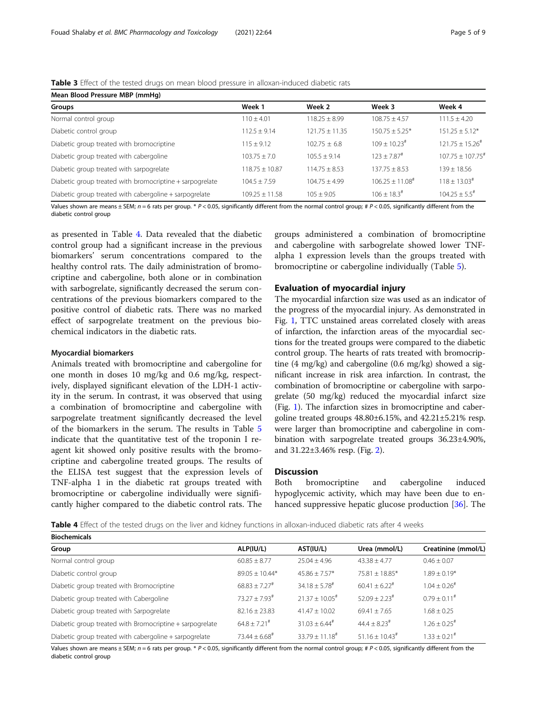# <span id="page-4-0"></span>Table 3 Effect of the tested drugs on mean blood pressure in alloxan-induced diabetic rats

| Mean Blood Pressure MBP (mmHg)                           |                    |                  |                               |                                |  |  |
|----------------------------------------------------------|--------------------|------------------|-------------------------------|--------------------------------|--|--|
| Groups                                                   | Week 1             | Week 2           | Week 3                        | Week 4                         |  |  |
| Normal control group                                     | $110 + 4.01$       | $118.25 + 8.99$  | $108.75 + 4.57$               | $111.5 \pm 4.20$               |  |  |
| Diabetic control group                                   | $112.5 \pm 9.14$   | $121.75 + 11.35$ | $150.75 + 5.25*$              | $151.25 + 5.12*$               |  |  |
| Diabetic group treated with bromocriptine                | $115 + 9.12$       | $102.75 + 6.8$   | $109 + 10.23$ <sup>#</sup>    | $121.75 + 15.26^{\text{*}}$    |  |  |
| Diabetic group treated with cabergoline                  | $103.75 + 7.0$     | $105.5 + 9.14$   | $123 + 7.87$ <sup>#</sup>     | $107.75 + 107.75$ <sup>#</sup> |  |  |
| Diabetic group treated with sarpogrelate                 | $118.75 + 10.87$   | $114.75 + 8.53$  | $137.75 + 8.53$               | $139 + 18.56$                  |  |  |
| Diabetic group treated with bromocriptine + sarpogrelate | $104.5 + 7.59$     | $104.75 + 4.99$  | $106.25 + 11.08$ <sup>#</sup> | $118 + 13.03^{\#}$             |  |  |
| Diabetic group treated with cabergoline + sarpogrelate   | $109.25 \pm 11.58$ | $105 \pm 9.05$   | $106 \pm 18.3$ <sup>#</sup>   | $104.25 \pm 5.5^{\text{*}}$    |  |  |

Values shown are means  $\pm$  SEM;  $n = 6$  rats per group. \* P < 0.05, significantly different from the normal control group; # P < 0.05, significantly different from the diabetic control group

as presented in Table 4. Data revealed that the diabetic control group had a significant increase in the previous biomarkers' serum concentrations compared to the healthy control rats. The daily administration of bromocriptine and cabergoline, both alone or in combination with sarbogrelate, significantly decreased the serum concentrations of the previous biomarkers compared to the positive control of diabetic rats. There was no marked effect of sarpogrelate treatment on the previous biochemical indicators in the diabetic rats.

#### Myocardial biomarkers

Animals treated with bromocriptine and cabergoline for one month in doses 10 mg/kg and 0.6 mg/kg, respectively, displayed significant elevation of the LDH-1 activity in the serum. In contrast, it was observed that using a combination of bromocriptine and cabergoline with sarpogrelate treatment significantly decreased the level of the biomarkers in the serum. The results in Table [5](#page-5-0) indicate that the quantitative test of the troponin I reagent kit showed only positive results with the bromocriptine and cabergoline treated groups. The results of the ELISA test suggest that the expression levels of TNF-alpha 1 in the diabetic rat groups treated with bromocriptine or cabergoline individually were significantly higher compared to the diabetic control rats. The

groups administered a combination of bromocriptine and cabergoline with sarbogrelate showed lower TNFalpha 1 expression levels than the groups treated with bromocriptine or cabergoline individually (Table [5\)](#page-5-0).

#### Evaluation of myocardial injury

The myocardial infarction size was used as an indicator of the progress of the myocardial injury. As demonstrated in Fig. [1](#page-5-0), TTC unstained areas correlated closely with areas of infarction, the infarction areas of the myocardial sections for the treated groups were compared to the diabetic control group. The hearts of rats treated with bromocriptine (4 mg/kg) and cabergoline (0.6 mg/kg) showed a significant increase in risk area infarction. In contrast, the combination of bromocriptine or cabergoline with sarpogrelate (50 mg/kg) reduced the myocardial infarct size (Fig. [1](#page-5-0)). The infarction sizes in bromocriptine and cabergoline treated groups 48.80±6.15%, and 42.21±5.21% resp. were larger than bromocriptine and cabergoline in combination with sarpogrelate treated groups 36.23±4.90%, and 31.22±3.46% resp. (Fig. [2](#page-6-0)).

# **Discussion**

Both bromocriptine and cabergoline induced hypoglycemic activity, which may have been due to enhanced suppressive hepatic glucose production [\[36\]](#page-8-0). The

Table 4 Effect of the tested drugs on the liver and kidney functions in alloxan-induced diabetic rats after 4 weeks

| <b>Biochemicals</b>                                      |                             |                              |                              |                             |  |
|----------------------------------------------------------|-----------------------------|------------------------------|------------------------------|-----------------------------|--|
| Group                                                    | ALP(IU/L)                   | AST(IU/L)                    | Urea (mmol/L)                | Creatinine (mmol/L)         |  |
| Normal control group                                     | $60.85 \pm 8.77$            | $25.04 + 4.96$               | $43.38 + 4.77$               | $0.46 \pm 0.07$             |  |
| Diabetic control group                                   | $89.05 \pm 10.44*$          | $45.86 + 7.57*$              | $75.81 + 18.85*$             | $1.89 \pm 0.19*$            |  |
| Diabetic group treated with Bromocriptine                | $68.83 + 7.27$ <sup>#</sup> | $34.18 + 5.78^{\text{*}}$    | $60.41 + 6.22$ <sup>#</sup>  | $1.04 + 0.26$ <sup>#</sup>  |  |
| Diabetic group treated with Cabergoline                  | $73.27 + 7.93^{\#}$         | $21.37 + 10.05$ <sup>#</sup> | $52.09 + 2.23$ <sup>#</sup>  | $0.79 + 0.11$ <sup>#</sup>  |  |
| Diabetic group treated with Sarpogrelate                 | $82.16 \pm 23.83$           | $41.47 + 10.02$              | $69.41 + 7.65$               | $1.68 \pm 0.25$             |  |
| Diabetic group treated with Bromocriptine + sarpogrelate | $64.8 + 7.21$ <sup>#</sup>  | $31.03 + 6.44$ <sup>#</sup>  | $44.4 + 8.23$ <sup>#</sup>   | $1.26 + 0.25$ #             |  |
| Diabetic group treated with cabergoline + sarpogrelate   | $73.44 \pm 6.68^{\text{*}}$ | $33.79 + 11.18$ <sup>#</sup> | $51.16 \pm 10.43^{\text{*}}$ | $.33 \pm 0.21$ <sup>#</sup> |  |

Values shown are means  $\pm$  SEM;  $n = 6$  rats per group. \* P < 0.05, significantly different from the normal control group; # P < 0.05, significantly different from the diabetic control group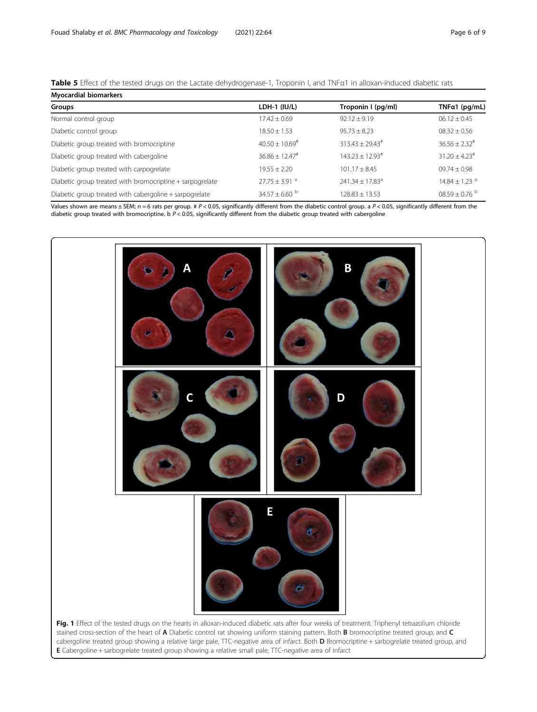<span id="page-5-0"></span>

| Table 5 Effect of the tested drugs on the Lactate dehydrogenase-1, Troponin I, and TNFa1 in alloxan-induced diabetic rats |
|---------------------------------------------------------------------------------------------------------------------------|
|---------------------------------------------------------------------------------------------------------------------------|

| <b>Myocardial biomarkers</b>                             |                               |                               |                               |  |  |  |
|----------------------------------------------------------|-------------------------------|-------------------------------|-------------------------------|--|--|--|
| Groups                                                   | LDH-1 $(IU/L)$                | Troponin I (pg/ml)            | TNF $a1$ (pg/mL)              |  |  |  |
| Normal control group                                     | $17.42 + 0.69$                | $92.12 + 9.19$                | $06.12 \pm 0.45$              |  |  |  |
| Diabetic control group                                   | $18.50 \pm 1.53$              | $95.73 \pm 8.23$              | $08.32 \pm 0.56$              |  |  |  |
| Diabetic group treated with bromocriptine                | $40.50 \pm 10.69^{\text{*}}$  | $313.43 + 29.43^{\#}$         | $36.56 + 2.32$ <sup>#</sup>   |  |  |  |
| Diabetic group treated with cabergoline                  | $36.86 + 12.47$ <sup>#</sup>  | $143.23 + 12.93^{\#}$         | $31.20 + 4.23$ <sup>#</sup>   |  |  |  |
| Diabetic group treated with carpogrelate                 | $19.55 \pm 2.20$              | $101.17 \pm 8.45$             | $09.74 \pm 0.98$              |  |  |  |
| Diabetic group treated with bromocriptine + sarpogrelate | $27.75 \pm 3.91$ <sup>a</sup> | $241.34 + 17.83$ <sup>a</sup> | $14.84 \pm 1.23$ <sup>a</sup> |  |  |  |
| Diabetic group treated with cabergoline + sarpogrelate   | $34.57 \pm 6.60$ b            | $128.83 + 13.53$              | $08.59 \pm 0.76$ <sup>b</sup> |  |  |  |

Values shown are means  $\pm$  SEM;  $n = 6$  rats per group. # P < 0.05, significantly different from the diabetic control group. a P < 0.05, significantly different from the diabetic group treated with bromocriptine. b  $P < 0.05$ , significantly different from the diabetic group treated with cabergoline

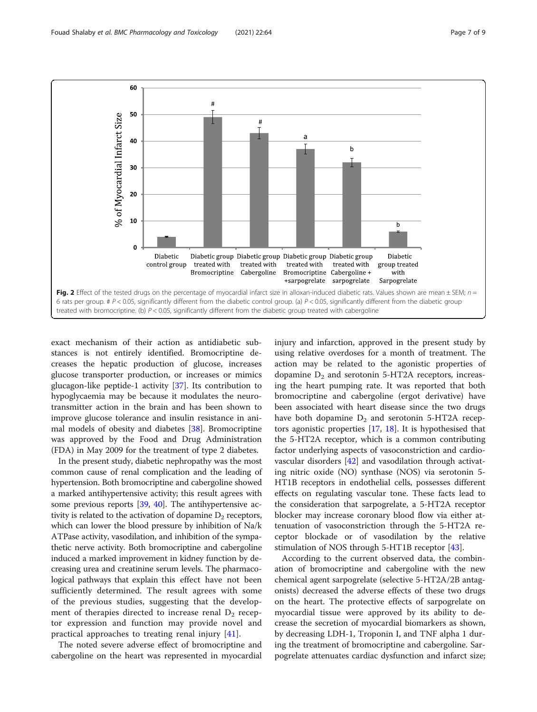<span id="page-6-0"></span>

exact mechanism of their action as antidiabetic substances is not entirely identified. Bromocriptine decreases the hepatic production of glucose, increases glucose transporter production, or increases or mimics glucagon-like peptide-1 activity [\[37\]](#page-8-0). Its contribution to hypoglycaemia may be because it modulates the neurotransmitter action in the brain and has been shown to improve glucose tolerance and insulin resistance in animal models of obesity and diabetes [\[38](#page-8-0)]. Bromocriptine was approved by the Food and Drug Administration (FDA) in May 2009 for the treatment of type 2 diabetes.

In the present study, diabetic nephropathy was the most common cause of renal complication and the leading of hypertension. Both bromocriptine and cabergoline showed a marked antihypertensive activity; this result agrees with some previous reports [[39,](#page-8-0) [40](#page-8-0)]. The antihypertensive activity is related to the activation of dopamine  $D_2$  receptors, which can lower the blood pressure by inhibition of Na/k ATPase activity, vasodilation, and inhibition of the sympathetic nerve activity. Both bromocriptine and cabergoline induced a marked improvement in kidney function by decreasing urea and creatinine serum levels. The pharmacological pathways that explain this effect have not been sufficiently determined. The result agrees with some of the previous studies, suggesting that the development of therapies directed to increase renal  $D_2$  receptor expression and function may provide novel and practical approaches to treating renal injury [[41\]](#page-8-0).

The noted severe adverse effect of bromocriptine and cabergoline on the heart was represented in myocardial injury and infarction, approved in the present study by using relative overdoses for a month of treatment. The action may be related to the agonistic properties of dopamine  $D_2$  and serotonin 5-HT2A receptors, increasing the heart pumping rate. It was reported that both bromocriptine and cabergoline (ergot derivative) have been associated with heart disease since the two drugs have both dopamine  $D_2$  and serotonin 5-HT2A receptors agonistic properties [[17,](#page-7-0) [18](#page-7-0)]. It is hypothesised that the 5-HT2A receptor, which is a common contributing factor underlying aspects of vasoconstriction and cardiovascular disorders [\[42](#page-8-0)] and vasodilation through activating nitric oxide (NO) synthase (NOS) via serotonin 5- HT1B receptors in endothelial cells, possesses different effects on regulating vascular tone. These facts lead to the consideration that sarpogrelate, a 5-HT2A receptor blocker may increase coronary blood flow via either attenuation of vasoconstriction through the 5-HT2A receptor blockade or of vasodilation by the relative stimulation of NOS through 5-HT1B receptor [[43\]](#page-8-0).

According to the current observed data, the combination of bromocriptine and cabergoline with the new chemical agent sarpogrelate (selective 5-HT2A/2B antagonists) decreased the adverse effects of these two drugs on the heart. The protective effects of sarpogrelate on myocardial tissue were approved by its ability to decrease the secretion of myocardial biomarkers as shown, by decreasing LDH-1, Troponin I, and TNF alpha 1 during the treatment of bromocriptine and cabergoline. Sarpogrelate attenuates cardiac dysfunction and infarct size;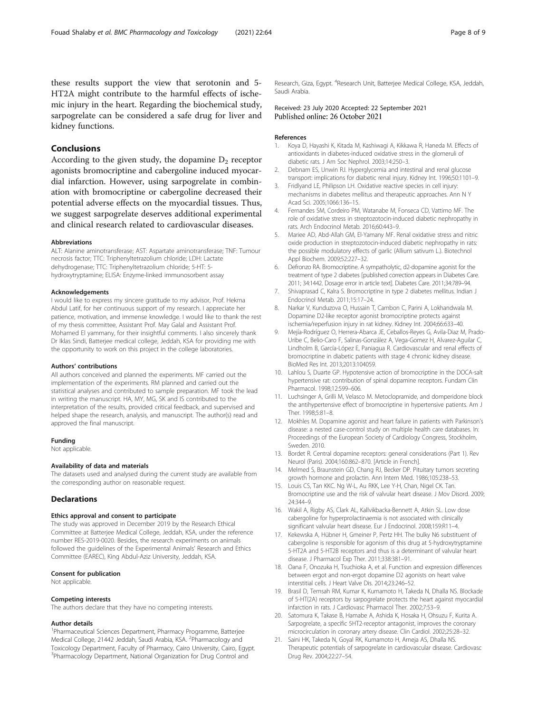<span id="page-7-0"></span>these results support the view that serotonin and 5- HT2A might contribute to the harmful effects of ischemic injury in the heart. Regarding the biochemical study, sarpogrelate can be considered a safe drug for liver and kidney functions.

# Conclusions

According to the given study, the dopamine  $D_2$  receptor agonists bromocriptine and cabergoline induced myocardial infarction. However, using sarpogrelate in combination with bromocriptine or cabergoline decreased their potential adverse effects on the myocardial tissues. Thus, we suggest sarpogrelate deserves additional experimental and clinical research related to cardiovascular diseases.

#### Abbreviations

ALT: Alanine aminotransferase; AST: Aspartate aminotransferase; TNF: Tumour necrosis factor; TTC: Triphenyltetrazolium chloride; LDH: Lactate dehydrogenase; TTC: Triphenyltetrazolium chloride; 5-HT: 5 hydroxytryptamine; ELISA: Enzyme-linked immunosorbent assay

#### Acknowledgements

I would like to express my sincere gratitude to my advisor, Prof. Hekma Abdul Latif, for her continuous support of my research. I appreciate her patience, motivation, and immense knowledge. I would like to thank the rest of my thesis committee, Assistant Prof. May Galal and Assistant Prof. Mohamed El yammany, for their insightful comments. I also sincerely thank Dr Iklas Sindi, Batterjee medical college, Jeddah, KSA for providing me with the opportunity to work on this project in the college laboratories.

#### Authors' contributions

All authors conceived and planned the experiments. MF carried out the implementation of the experiments. RM planned and carried out the statistical analyses and contributed to sample preparation. MF took the lead in writing the manuscript. HA, MY, MG, SK and IS contributed to the interpretation of the results, provided critical feedback, and supervised and helped shape the research, analysis, and manuscript. The author(s) read and approved the final manuscript.

#### Funding

Not applicable.

#### Availability of data and materials

The datasets used and analysed during the current study are available from the corresponding author on reasonable request.

# **Declarations**

#### Ethics approval and consent to participate

The study was approved in December 2019 by the Research Ethical Committee at Batterjee Medical College, Jeddah, KSA, under the reference number RES-2019-0020. Besides, the research experiments on animals followed the guidelines of the Experimental Animals' Research and Ethics Committee (EAREC), King Abdul-Aziz University, Jeddah, KSA.

# Consent for publication

Not applicable.

#### Competing interests

The authors declare that they have no competing interests.

#### Author details

<sup>1</sup> Pharmaceutical Sciences Department, Pharmacy Programme, Batterjee Medical College, 21442 Jeddah, Saudi Arabia, KSA. <sup>2</sup>Pharmacology and Toxicology Department, Faculty of Pharmacy, Cairo University, Cairo, Egypt. <sup>3</sup>Pharmacology Department, National Organization for Drug Control and

Research, Giza, Egypt. <sup>4</sup>Research Unit, Batterjee Medical College, KSA, Jeddah, Saudi Arabia.

#### Received: 23 July 2020 Accepted: 22 September 2021 Published online: 26 October 2021

#### References

- 1. Koya D, Hayashi K, Kitada M, Kashiwagi A, Kikkawa R, Haneda M. Effects of antioxidants in diabetes-induced oxidative stress in the glomeruli of diabetic rats. J Am Soc Nephrol. 2003;14:250–3.
- 2. Debnam ES, Unwin RJ. Hyperglycemia and intestinal and renal glucose transport: implications for diabetic renal injury. Kidney Int. 1996;50:1101–9.
- 3. Fridlyand LE, Philipson LH. Oxidative reactive species in cell injury: mechanisms in diabetes mellitus and therapeutic approaches. Ann N Y Acad Sci. 2005;1066:136–15.
- 4. Fernandes SM, Cordeiro PM, Watanabe M, Fonseca CD, Vattimo MF. The role of oxidative stress in streptozotocin-induced diabetic nephropathy in rats. Arch Endocrinol Metab. 2016;60:443–9.
- 5. Mariee AD, Abd-Allah GM, El-Yamany MF. Renal oxidative stress and nitric oxide production in streptozotocin-induced diabetic nephropathy in rats: the possible modulatory effects of garlic (Allium sativum L.). Biotechnol Appl Biochem. 2009;52:227–32.
- 6. Defronzo RA. Bromocriptine. A sympatholytic, d2-dopamine agonist for the treatment of type 2 diabetes [published correction appears in Diabetes Care. 2011; 34:1442. Dosage error in article text]. Diabetes Care. 2011;34:789–94.
- 7. Shivaprasad C, Kalra S. Bromocriptine in type 2 diabetes mellitus. Indian J Endocrinol Metab. 2011;15:17–24.
- 8. Narkar V, Kunduzova O, Hussain T, Cambon C, Parini A, Lokhandwala M. Dopamine D2-like receptor agonist bromocriptine protects against ischemia/reperfusion injury in rat kidney. Kidney Int. 2004;66:633–40.
- 9. Mejía-Rodríguez O, Herrera-Abarca JE, Ceballos-Reyes G, Avila-Diaz M, Prado-Uribe C, Belio-Caro F, Salinas-González A, Vega-Gomez H, Alvarez-Aguilar C, Lindholm B, García-López E, Paniagua R. Cardiovascular and renal effects of bromocriptine in diabetic patients with stage 4 chronic kidney disease. BioMed Res Int. 2013;2013:104059.
- 10. Lahlou S, Duarte GP. Hypotensive action of bromocriptine in the DOCA-salt hypertensive rat: contribution of spinal dopamine receptors. Fundam Clin Pharmacol. 1998;12:599–606.
- 11. Luchsinger A, Grilli M, Velasco M. Metoclopramide, and domperidone block the antihypertensive effect of bromocriptine in hypertensive patients. Am J Ther. 1998;5:81–8.
- 12. Mokhles M. Dopamine agonist and heart failure in patients with Parkinson's disease: a nested case-control study on multiple health care databases. In: Proceedings of the European Society of Cardiology Congress, Stockholm, Sweden. 2010.
- 13. Bordet R. Central dopamine receptors: general considerations (Part 1). Rev Neurol (Paris). 2004;160:862–870. [Article in French].
- 14. Melmed S, Braunstein GD, Chang RJ, Becker DP. Pituitary tumors secreting growth hormone and prolactin. Ann Intern Med. 1986;105:238–53.
- 15. Louis CS, Tan KKC. Ng W-L, Au RKK, Lee Y-H, Chan, Nigel CK. Tan. Bromocriptine use and the risk of valvular heart disease. J Mov Disord. 2009; 24:344–9.
- 16. Wakil A, Rigby AS, Clark AL, Kallvikbacka-Bennett A, Atkin SL. Low dose cabergoline for hyperprolactinaemia is not associated with clinically significant valvular heart disease. Eur J Endocrinol. 2008;159:R11–4.
- 17. Kekewska A, Hübner H, Gmeiner P, Pertz HH. The bulky N6 substituent of cabergoline is responsible for agonism of this drug at 5-hydroxytryptamine 5-HT2A and 5-HT2B receptors and thus is a determinant of valvular heart disease. J Pharmacol Exp Ther. 2011;338:381–91.
- 18. Oana F, Onozuka H, Tsuchioka A, et al. Function and expression differences between ergot and non-ergot dopamine D2 agonists on heart valve interstitial cells. J Heart Valve Dis. 2014;23:246–52.
- 19. Brasil D, Temsah RM, Kumar K, Kumamoto H, Takeda N, Dhalla NS. Blockade of 5-HT(2A) receptors by sarpogrelate protects the heart against myocardial infarction in rats. J Cardiovasc Pharmacol Ther. 2002;7:53–9.
- 20. Satomura K, Takase B, Hamabe A, Ashida K, Hosaka H, Ohsuzu F, Kurita A. Sarpogrelate, a specific 5HT2-receptor antagonist, improves the coronary microcirculation in coronary artery disease. Clin Cardiol. 2002;25:28–32.
- 21. Saini HK, Takeda N, Goyal RK, Kumamoto H, Arneja AS, Dhalla NS. Therapeutic potentials of sarpogrelate in cardiovascular disease. Cardiovasc Drug Rev. 2004;22:27–54.